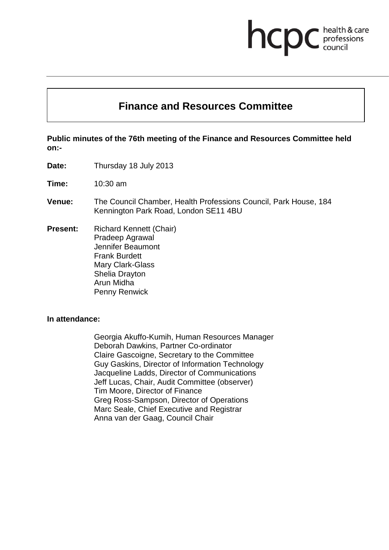# **Finance and Resources Committee**

**health & care** 

**Public minutes of the 76th meeting of the Finance and Resources Committee held on:-**

**Date:** Thursday 18 July 2013

**Time:** 10:30 am

- **Venue:** The Council Chamber, Health Professions Council, Park House, 184 Kennington Park Road, London SE11 4BU
- **Present:** Richard Kennett (Chair) Pradeep Agrawal Jennifer Beaumont Frank Burdett Mary Clark-Glass Shelia Drayton Arun Midha Penny Renwick

#### **In attendance:**

Georgia Akuffo-Kumih, Human Resources Manager Deborah Dawkins, Partner Co-ordinator Claire Gascoigne, Secretary to the Committee Guy Gaskins, Director of Information Technology Jacqueline Ladds, Director of Communications Jeff Lucas, Chair, Audit Committee (observer) Tim Moore, Director of Finance Greg Ross-Sampson, Director of Operations Marc Seale, Chief Executive and Registrar Anna van der Gaag, Council Chair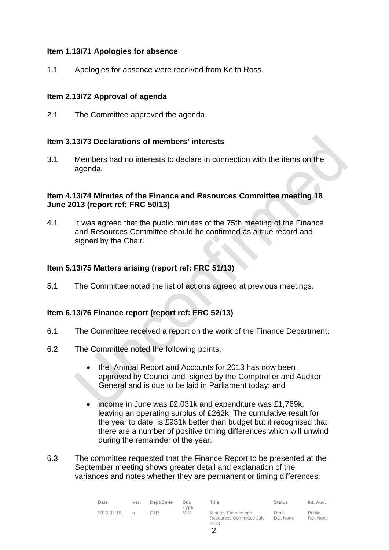## **Item 1.13/71 Apologies for absence**

1.1 Apologies for absence were received from Keith Ross.

## **Item 2.13/72 Approval of agenda**

2.1 The Committee approved the agenda.

## **Item 3.13/73 Declarations of members' interests**

3.1 Members had no interests to declare in connection with the items on the agenda.

## **Item 4.13/74 Minutes of the Finance and Resources Committee meeting 18 June 2013 (report ref: FRC 50/13)**

4.1 It was agreed that the public minutes of the 75th meeting of the Finance and Resources Committee should be confirmed as a true record and signed by the Chair.

## **Item 5.13/75 Matters arising (report ref: FRC 51/13)**

5.1 The Committee noted the list of actions agreed at previous meetings.

# **Item 6.13/76 Finance report (report ref: FRC 52/13)**

- 6.1 The Committee received a report on the work of the Finance Department.
- 6.2 The Committee noted the following points;
	- the Annual Report and Accounts for 2013 has now been approved by Council and signed by the Comptroller and Auditor General and is due to be laid in Parliament today; and
	- income in June was £2,031k and expenditure was £1,769k, leaving an operating surplus of £262k. The cumulative result for the year to date is £931k better than budget but it recognised that there are a number of positive timing differences which will unwind during the remainder of the year.
- 6.3 The committee requested that the Finance Report to be presented at the September meeting shows greater detail and explanation of the variances and notes whether they are permanent or timing differences:

| Date       | Ver.          | Dept/Cmte | Doc.<br>Tvpe | Title                                                   | <b>Status</b>     | Int. Aud.                 |
|------------|---------------|-----------|--------------|---------------------------------------------------------|-------------------|---------------------------|
| 2013-07-18 | $\mathcal{A}$ | F&R       | <b>MIN</b>   | Minutes Finance and<br>Resources Committee July<br>2013 | Draft<br>DD: None | <b>Public</b><br>RD: None |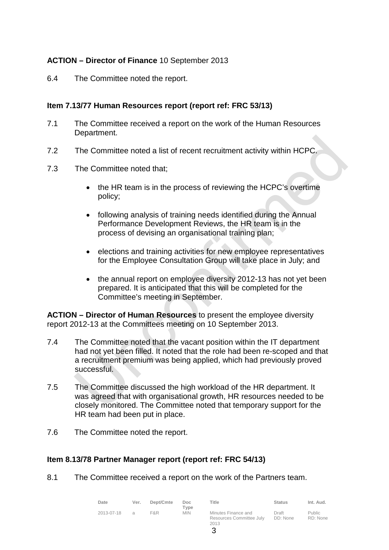## **ACTION – Director of Finance** 10 September 2013

6.4 The Committee noted the report.

## **Item 7.13/77 Human Resources report (report ref: FRC 53/13)**

- 7.1 The Committee received a report on the work of the Human Resources Department.
- 7.2 The Committee noted a list of recent recruitment activity within HCPC.
- 7.3 The Committee noted that;
	- the HR team is in the process of reviewing the HCPC's overtime policy;
	- following analysis of training needs identified during the Annual Performance Development Reviews, the HR team is in the process of devising an organisational training plan;
	- elections and training activities for new employee representatives for the Employee Consultation Group will take place in July; and
	- the annual report on employee diversity 2012-13 has not yet been prepared. It is anticipated that this will be completed for the Committee's meeting in September.

**ACTION – Director of Human Resources** to present the employee diversity report 2012-13 at the Committees meeting on 10 September 2013.

- 7.4 The Committee noted that the vacant position within the IT department had not yet been filled. It noted that the role had been re-scoped and that a recruitment premium was being applied, which had previously proved successful.
- 7.5 The Committee discussed the high workload of the HR department. It was agreed that with organisational growth, HR resources needed to be closely monitored. The Committee noted that temporary support for the HR team had been put in place.
- 7.6 The Committee noted the report.

## **Item 8.13/78 Partner Manager report (report ref: FRC 54/13)**

8.1 The Committee received a report on the work of the Partners team.

| Date       | Ver.          | Dept/Cmte | Doc.<br>Tvpe | Title                                                   | <b>Status</b>     | Int. Aud.                 |
|------------|---------------|-----------|--------------|---------------------------------------------------------|-------------------|---------------------------|
| 2013-07-18 | $\mathcal{A}$ | F&R       | <b>MIN</b>   | Minutes Finance and<br>Resources Committee July<br>2013 | Draft<br>DD: None | <b>Public</b><br>RD: None |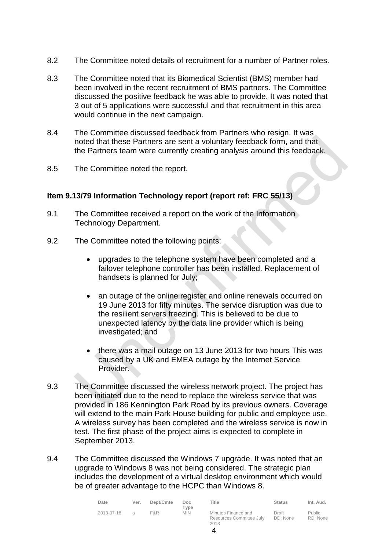- 8.2 The Committee noted details of recruitment for a number of Partner roles.
- 8.3 The Committee noted that its Biomedical Scientist (BMS) member had been involved in the recent recruitment of BMS partners. The Committee discussed the positive feedback he was able to provide. It was noted that 3 out of 5 applications were successful and that recruitment in this area would continue in the next campaign.
- 8.4 The Committee discussed feedback from Partners who resign. It was noted that these Partners are sent a voluntary feedback form, and that the Partners team were currently creating analysis around this feedback.
- 8.5 The Committee noted the report.

## **Item 9.13/79 Information Technology report (report ref: FRC 55/13)**

- 9.1 The Committee received a report on the work of the Information Technology Department.
- 9.2 The Committee noted the following points:
	- upgrades to the telephone system have been completed and a failover telephone controller has been installed. Replacement of handsets is planned for July;
	- an outage of the online register and online renewals occurred on 19 June 2013 for fifty minutes. The service disruption was due to the resilient servers freezing. This is believed to be due to unexpected latency by the data line provider which is being investigated; and
	- there was a mail outage on 13 June 2013 for two hours This was caused by a UK and EMEA outage by the Internet Service Provider.
- 9.3 The Committee discussed the wireless network project. The project has been initiated due to the need to replace the wireless service that was provided in 186 Kennington Park Road by its previous owners. Coverage will extend to the main Park House building for public and employee use. A wireless survey has been completed and the wireless service is now in test. The first phase of the project aims is expected to complete in September 2013.
- 9.4 The Committee discussed the Windows 7 upgrade. It was noted that an upgrade to Windows 8 was not being considered. The strategic plan includes the development of a virtual desktop environment which would be of greater advantage to the HCPC than Windows 8.

| Date       | Ver.          | Dept/Cmte | Doc.<br>Type | Title                                                   | <b>Status</b>     | Int. Aud.                 |
|------------|---------------|-----------|--------------|---------------------------------------------------------|-------------------|---------------------------|
| 2013-07-18 | $\mathcal{A}$ | F&R       | <b>MIN</b>   | Minutes Finance and<br>Resources Committee July<br>2013 | Draft<br>DD: None | <b>Public</b><br>RD: None |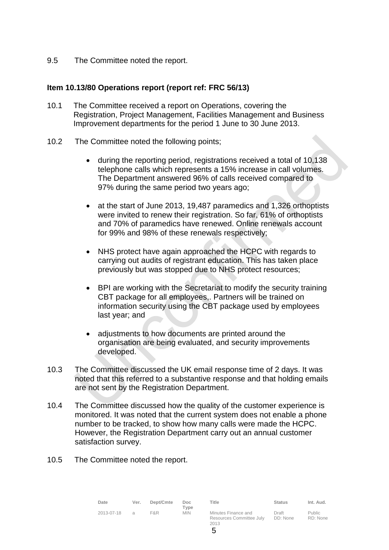9.5 The Committee noted the report.

## **Item 10.13/80 Operations report (report ref: FRC 56/13)**

- 10.1 The Committee received a report on Operations, covering the Registration, Project Management, Facilities Management and Business Improvement departments for the period 1 June to 30 June 2013.
- 10.2 The Committee noted the following points;
	- during the reporting period, registrations received a total of 10,138 telephone calls which represents a 15% increase in call volumes. The Department answered 96% of calls received compared to 97% during the same period two years ago;
	- at the start of June 2013, 19,487 paramedics and 1,326 orthoptists were invited to renew their registration. So far, 61% of orthoptists and 70% of paramedics have renewed. Online renewals account for 99% and 98% of these renewals respectively;
	- NHS protect have again approached the HCPC with regards to carrying out audits of registrant education. This has taken place previously but was stopped due to NHS protect resources;
	- BPI are working with the Secretariat to modify the security training CBT package for all employees,. Partners will be trained on information security using the CBT package used by employees last year; and
	- adjustments to how documents are printed around the organisation are being evaluated, and security improvements developed.
- 10.3 The Committee discussed the UK email response time of 2 days. It was noted that this referred to a substantive response and that holding emails are not sent by the Registration Department.
- 10.4 The Committee discussed how the quality of the customer experience is monitored. It was noted that the current system does not enable a phone number to be tracked, to show how many calls were made the HCPC. However, the Registration Department carry out an annual customer satisfaction survey.
- 10.5 The Committee noted the report.

| Date       | Ver. | Dept/Cmte | Doc                |
|------------|------|-----------|--------------------|
| 2013-07-18 | а    | F&R       | Type<br><b>MIN</b> |

Minutes Finance and Resources Committee July 2013 Draft DD: None

**Title Status Int. Aud.**

Public RD: None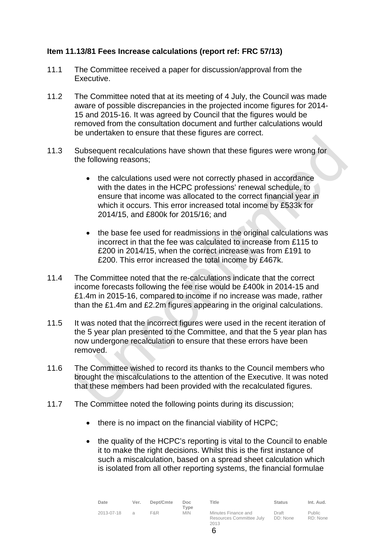## **Item 11.13/81 Fees Increase calculations (report ref: FRC 57/13)**

- 11.1 The Committee received a paper for discussion/approval from the Executive.
- 11.2 The Committee noted that at its meeting of 4 July, the Council was made aware of possible discrepancies in the projected income figures for 2014- 15 and 2015-16. It was agreed by Council that the figures would be removed from the consultation document and further calculations would be undertaken to ensure that these figures are correct.
- 11.3 Subsequent recalculations have shown that these figures were wrong for the following reasons;
	- the calculations used were not correctly phased in accordance with the dates in the HCPC professions' renewal schedule, to ensure that income was allocated to the correct financial year in which it occurs. This error increased total income by £533k for 2014/15, and £800k for 2015/16; and
	- the base fee used for readmissions in the original calculations was incorrect in that the fee was calculated to increase from £115 to £200 in 2014/15, when the correct increase was from £191 to £200. This error increased the total income by £467k.
- 11.4 The Committee noted that the re-calculations indicate that the correct income forecasts following the fee rise would be £400k in 2014-15 and £1.4m in 2015-16, compared to income if no increase was made, rather than the £1.4m and £2.2m figures appearing in the original calculations.
- 11.5 It was noted that the incorrect figures were used in the recent iteration of the 5 year plan presented to the Committee, and that the 5 year plan has now undergone recalculation to ensure that these errors have been removed.
- 11.6 The Committee wished to record its thanks to the Council members who brought the miscalculations to the attention of the Executive. It was noted that these members had been provided with the recalculated figures.
- 11.7 The Committee noted the following points during its discussion;
	- there is no impact on the financial viability of HCPC;
	- the quality of the HCPC's reporting is vital to the Council to enable it to make the right decisions. Whilst this is the first instance of such a miscalculation, based on a spread sheet calculation which is isolated from all other reporting systems, the financial formulae

| Date       | Ver.          | Dept/Cmte | Doc.<br>Tvpe | Title                                                   | <b>Status</b>     | Int. Aud.          |
|------------|---------------|-----------|--------------|---------------------------------------------------------|-------------------|--------------------|
| 2013-07-18 | $\mathcal{A}$ | F&R.      | <b>MIN</b>   | Minutes Finance and<br>Resources Committee July<br>2013 | Draft<br>DD: None | Public<br>RD: None |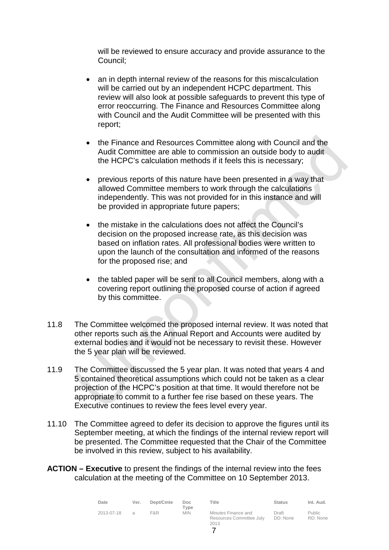will be reviewed to ensure accuracy and provide assurance to the Council;

- an in depth internal review of the reasons for this miscalculation will be carried out by an independent HCPC department. This review will also look at possible safeguards to prevent this type of error reoccurring. The Finance and Resources Committee along with Council and the Audit Committee will be presented with this report;
- the Finance and Resources Committee along with Council and the Audit Committee are able to commission an outside body to audit the HCPC's calculation methods if it feels this is necessary;
- previous reports of this nature have been presented in a way that allowed Committee members to work through the calculations independently. This was not provided for in this instance and will be provided in appropriate future papers;
- the mistake in the calculations does not affect the Council's decision on the proposed increase rate, as this decision was based on inflation rates. All professional bodies were written to upon the launch of the consultation and informed of the reasons for the proposed rise; and
- the tabled paper will be sent to all Council members, along with a covering report outlining the proposed course of action if agreed by this committee.
- 11.8 The Committee welcomed the proposed internal review. It was noted that other reports such as the Annual Report and Accounts were audited by external bodies and it would not be necessary to revisit these. However the 5 year plan will be reviewed.
- 11.9 The Committee discussed the 5 year plan. It was noted that years 4 and 5 contained theoretical assumptions which could not be taken as a clear projection of the HCPC's position at that time. It would therefore not be appropriate to commit to a further fee rise based on these years. The Executive continues to review the fees level every year.
- 11.10 The Committee agreed to defer its decision to approve the figures until its September meeting, at which the findings of the internal review report will be presented. The Committee requested that the Chair of the Committee be involved in this review, subject to his availability.
- **ACTION – Executive** to present the findings of the internal review into the fees calculation at the meeting of the Committee on 10 September 2013.

| Date       | Ver. | Dept/Cmte | Doc.<br>Tvpe | Title                                                   | <b>Status</b>     | Int. Aud.                 |
|------------|------|-----------|--------------|---------------------------------------------------------|-------------------|---------------------------|
| 2013-07-18 | a    | F&R       | <b>MIN</b>   | Minutes Finance and<br>Resources Committee July<br>2013 | Draft<br>DD: None | <b>Public</b><br>RD: None |

7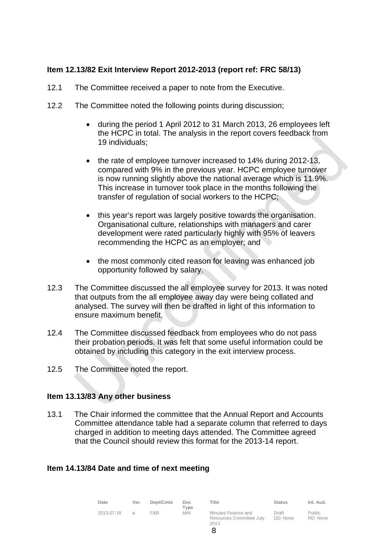## **Item 12.13/82 Exit Interview Report 2012-2013 (report ref: FRC 58/13)**

- 12.1 The Committee received a paper to note from the Executive.
- 12.2 The Committee noted the following points during discussion;
	- during the period 1 April 2012 to 31 March 2013, 26 employees left the HCPC in total. The analysis in the report covers feedback from 19 individuals;
	- the rate of employee turnover increased to 14% during 2012-13, compared with 9% in the previous year. HCPC employee turnover is now running slightly above the national average which is 11.9%. This increase in turnover took place in the months following the transfer of regulation of social workers to the HCPC;
	- this year's report was largely positive towards the organisation. Organisational culture, relationships with managers and carer development were rated particularly highly with 95% of leavers recommending the HCPC as an employer; and
	- the most commonly cited reason for leaving was enhanced job opportunity followed by salary.
- 12.3 The Committee discussed the all employee survey for 2013. It was noted that outputs from the all employee away day were being collated and analysed. The survey will then be drafted in light of this information to ensure maximum benefit.
- 12.4 The Committee discussed feedback from employees who do not pass their probation periods. It was felt that some useful information could be obtained by including this category in the exit interview process.
- 12.5 The Committee noted the report.

## **Item 13.13/83 Any other business**

13.1 The Chair informed the committee that the Annual Report and Accounts Committee attendance table had a separate column that referred to days charged in addition to meeting days attended. The Committee agreed that the Council should review this format for the 2013-14 report.

## **Item 14.13/84 Date and time of next meeting**

| Date       | Ver.          | Dept/Cmte | Doc<br>Type | Title                                                   | <b>Status</b>     | Int. Aud.                 |
|------------|---------------|-----------|-------------|---------------------------------------------------------|-------------------|---------------------------|
| 2013-07-18 | $\mathcal{A}$ | F&R       | <b>MIN</b>  | Minutes Finance and<br>Resources Committee July<br>2013 | Draft<br>DD: None | <b>Public</b><br>RD: None |